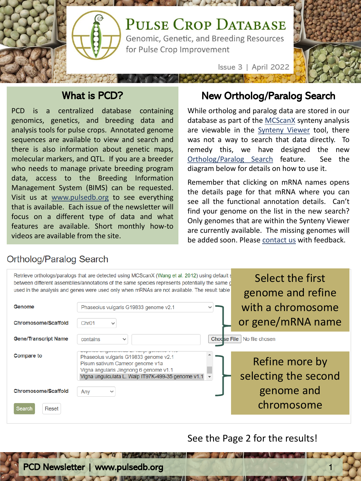

## What is PCD?

PCD is a centralized database containing genomics, genetics, and breeding data and analysis tools for pulse crops. Annotated genome sequences are available to view and search and there is also information about genetic maps, molecular markers, and QTL. If you are a breeder who needs to manage private breeding program data, access to the Breeding Information Management System (BIMS) can be requested. Visit us at [www.pulsedb.org](http://www.pulsedb.org/) to see everything that is available. Each issue of the newsletter will focus on a different type of data and what features are available. Short monthly how-to videos are available from the site.

## New Ortholog/Paralog Search

While ortholog and paralog data are stored in our database as part of the [MCScanX](https://academic.oup.com/nar/article/40/7/e49/1202057) synteny analysis are viewable in the [Synteny](https://www.pulsedb.org/synview/search) Viewer tool, there was not a way to search that data directly. To remedy this, we have designed the new [Ortholog/Paralog](https://www.pulsedb.org/search/orthologs) Search feature. See the diagram below for details on how to use it.

Remember that clicking on mRNA names opens the details page for that mRNA where you can see all the functional annotation details. Can't find your genome on the list in the new search? Only genomes that are within the Synteny Viewer are currently available. The missing genomes will be added soon. Please [contact](https://www.pulsedb.org/pulsedb_contact) us with feedback.

## Ortholog/Paralog Search

|                             | Retrieve orthologs/paralogs that are detected using MCScanX (Wang et al. 2012) using default s<br>between different assemblies/annotations of the same species represents potentially the same g<br>used in the analysis and genes were used only when mRNAs are not available. The result table | Select the first<br>genome and refine  |  |  |
|-----------------------------|--------------------------------------------------------------------------------------------------------------------------------------------------------------------------------------------------------------------------------------------------------------------------------------------------|----------------------------------------|--|--|
| Genome                      | Phaseolus vulgaris G19833 genome v2.1                                                                                                                                                                                                                                                            | with a chromosome                      |  |  |
| Chromosome/Scaffold         | Chr01<br>$\checkmark$                                                                                                                                                                                                                                                                            | or gene/mRNA name                      |  |  |
| <b>Gene/Transcript Name</b> | <b>Chodse File</b><br>contains<br>$\checkmark$<br>Lupinuo unguomonuo L. Tuniji gonomo 1 no                                                                                                                                                                                                       | No file chosen                         |  |  |
| <b>Compare to</b>           | Phaseolus vulgaris G19833 genome v2.1<br>Pisum sativum Cameor genome v1a<br>Vigna angularis Jingnong 6 genome v1.1<br>Vigna unguiculata L. Walp IT97K-499-35 genome v1.1                                                                                                                         | Refine more by<br>selecting the second |  |  |
| <b>Chromosome/Scaffold</b>  | Any<br>$\checkmark$                                                                                                                                                                                                                                                                              | genome and                             |  |  |
| Search<br>Reset             |                                                                                                                                                                                                                                                                                                  | chromosome                             |  |  |

See the Page 2 for the results!